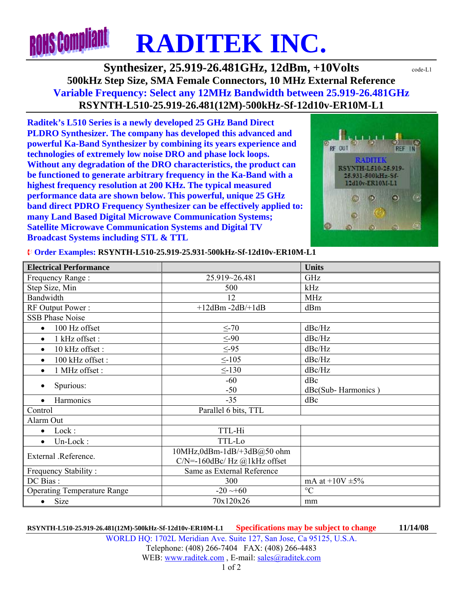## **ROHS Compliant RADITEK INC.**

**Synthesizer, 25.919-26.481GHz, 12dBm, +10Volts**  $\text{code-LL}$ **500kHz Step Size, SMA Female Connectors, 10 MHz External Reference Variable Frequency: Select any 12MHz Bandwidth between 25.919-26.481GHz RSYNTH-L510-25.919-26.481(12M)-500kHz-Sf-12d10v-ER10M-L1** 

**Raditek's L510 Series is a newly developed 25 GHz Band Direct PLDRO Synthesizer. The company has developed this advanced and powerful Ka-Band Synthesizer by combining its years experience and technologies of extremely low noise DRO and phase lock loops. Without any degradation of the DRO characteristics, the product can be functioned to generate arbitrary frequency in the Ka-Band with a highest frequency resolution at 200 KHz. The typical measured performance data are shown below. This powerful, unique 25 GHz band direct PDRO Frequency Synthesizer can be effectively applied to: many Land Based Digital Microwave Communication Systems; Satellite Microwave Communication Systems and Digital TV Broadcast Systems including STL & TTL** 



¨ **Order Examples: RSYNTH-L510-25.919-25.931-500kHz-Sf-12d10v-ER10M-L1** 

| <b>Electrical Performance</b>      |                                 | <b>Units</b>         |
|------------------------------------|---------------------------------|----------------------|
| Frequency Range:                   | 25.919~26.481                   | GHz                  |
| Step Size, Min                     | 500                             | kHz                  |
| Bandwidth                          | 12                              | <b>MHz</b>           |
| RF Output Power:                   | $+12$ dBm -2dB/+1dB             | dBm                  |
| <b>SSB Phase Noise</b>             |                                 |                      |
| 100 Hz offset<br>$\bullet$         | $\leq$ -70                      | dBc/Hz               |
| 1 kHz offset:<br>$\bullet$         | $\leq -90$                      | dBc/Hz               |
| 10 kHz offset:<br>$\bullet$        | $\leq -95$                      | dBc/Hz               |
| 100 kHz offset:<br>$\bullet$       | $\leq$ -105                     | dBc/Hz               |
| 1 MHz offset :<br>$\bullet$        | $\leq$ -130                     | dBc/Hz               |
| Spurious:<br>$\bullet$             | $-60$                           | dBc                  |
|                                    | $-50$                           | dBc(Sub-Harmonics)   |
| Harmonics<br>$\bullet$             | $-35$                           | dBc                  |
| Control                            | Parallel 6 bits, TTL            |                      |
| Alarm Out                          |                                 |                      |
| Lock:<br>$\bullet$                 | TTL-Hi                          |                      |
| Un-Lock:<br>$\bullet$              | TTL-Lo                          |                      |
| External .Reference.               | 10MHz,0dBm-1dB/+3dB@50 ohm      |                      |
|                                    | $C/N$ =-160dBc/ Hz @1kHz offset |                      |
| Frequency Stability:               | Same as External Reference      |                      |
| DC Bias:                           | 300                             | mA at $+10V \pm 5\%$ |
| <b>Operating Temperature Range</b> | $-20 \rightarrow 60$            | $\rm ^{\circ}C$      |
| Size<br>$\bullet$                  | 70x120x26                       | mm                   |

**RSYNTH-L510-25.919-26.481(12M)-500kHz-Sf-12d10v-ER10M-L1 Specifications may be subject to change 11/14/08** WORLD HQ: 1702L Meridian Ave. Suite 127, San Jose, Ca 95125, U.S.A. Telephone: (408) 266-7404 FAX: (408) 266-4483 WEB: www.raditek.com , E-mail: sales@raditek.com